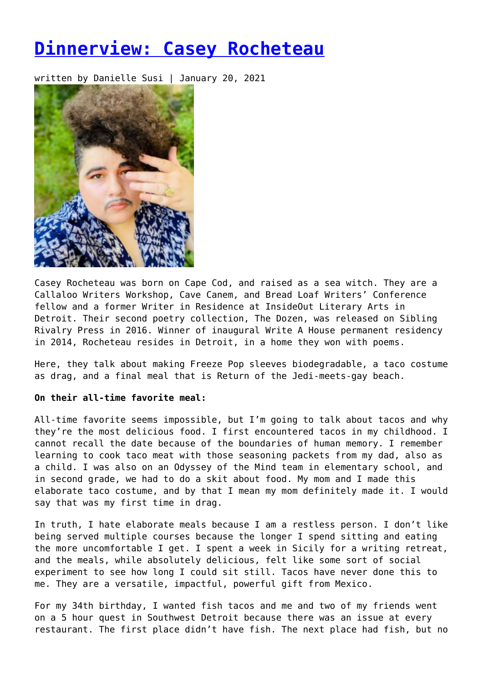# **[Dinnerview: Casey Rocheteau](https://entropymag.org/dinnerview-casey-rocheteau/)**

written by Danielle Susi | January 20, 2021



Casey Rocheteau was born on Cape Cod, and raised as a sea witch. They are a Callaloo Writers Workshop, Cave Canem, and Bread Loaf Writers' Conference fellow and a former Writer in Residence at InsideOut Literary Arts in Detroit. Their second poetry collection, The Dozen, was released on Sibling Rivalry Press in 2016. Winner of inaugural Write A House permanent residency in 2014, Rocheteau resides in Detroit, in a home they won with poems.

Here, they talk about making Freeze Pop sleeves biodegradable, a taco costume as drag, and a final meal that is Return of the Jedi-meets-gay beach.

# **On their all-time favorite meal:**

All-time favorite seems impossible, but I'm going to talk about tacos and why they're the most delicious food. I first encountered tacos in my childhood. I cannot recall the date because of the boundaries of human memory. I remember learning to cook taco meat with those seasoning packets from my dad, also as a child. I was also on an Odyssey of the Mind team in elementary school, and in second grade, we had to do a skit about food. My mom and I made this elaborate taco costume, and by that I mean my mom definitely made it. I would say that was my first time in drag.

In truth, I hate elaborate meals because I am a restless person. I don't like being served multiple courses because the longer I spend sitting and eating the more uncomfortable I get. I spent a week in Sicily for a writing retreat, and the meals, while absolutely delicious, felt like some sort of social experiment to see how long I could sit still. Tacos have never done this to me. They are a versatile, impactful, powerful gift from Mexico.

For my 34th birthday, I wanted fish tacos and me and two of my friends went on a 5 hour quest in Southwest Detroit because there was an issue at every restaurant. The first place didn't have fish. The next place had fish, but no